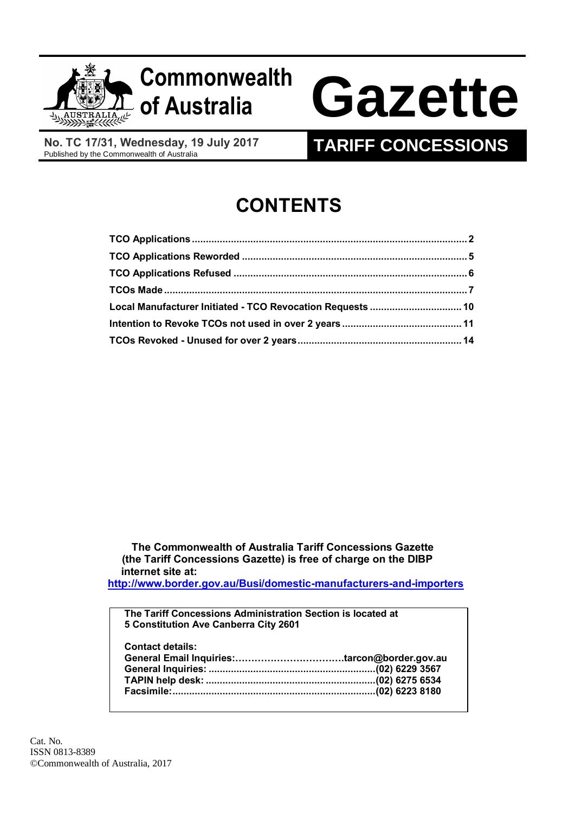

# **Commonwealth**

# **of Australia Gazette**

**No. TC 17/31, Wednesday, 19 July 2017**

## **TARIFF CONCESSIONS**

## **CONTENTS**

| Local Manufacturer Initiated - TCO Revocation Requests  10 |  |
|------------------------------------------------------------|--|
|                                                            |  |
|                                                            |  |

 **The Commonwealth of Australia Tariff Concessions Gazette (the Tariff Concessions Gazette) is free of charge on the DIBP internet site at:** 

**<http://www.border.gov.au/Busi/domestic-manufacturers-and-importers>**

**The Tariff Concessions Administration Section is located at 5 Constitution Ave Canberra City 2601**

**Contact details:**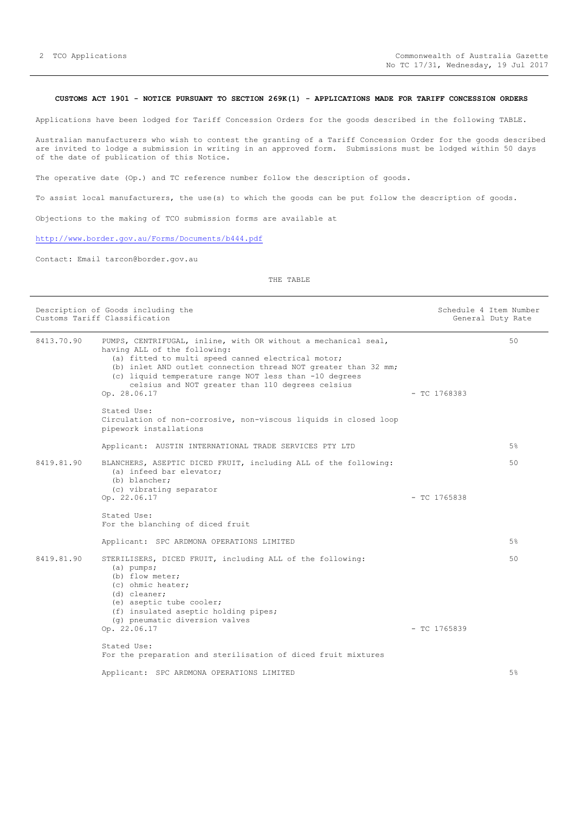#### <span id="page-1-0"></span>**CUSTOMS ACT 1901 - NOTICE PURSUANT TO SECTION 269K(1) - APPLICATIONS MADE FOR TARIFF CONCESSION ORDERS**

Applications have been lodged for Tariff Concession Orders for the goods described in the following TABLE.

Australian manufacturers who wish to contest the granting of a Tariff Concession Order for the goods described are invited to lodge a submission in writing in an approved form. Submissions must be lodged within 50 days of the date of publication of this Notice.

The operative date (Op.) and TC reference number follow the description of goods.

To assist local manufacturers, the use(s) to which the goods can be put follow the description of goods.

Objections to the making of TCO submission forms are available at

<http://www.border.gov.au/Forms/Documents/b444.pdf>

Contact: Email tarcon@border.gov.au

THE TABLE

|            | Description of Goods including the<br>Customs Tariff Classification                                                                                                                                                                                                                                                                                  |                | Schedule 4 Item Number<br>General Duty Rate |
|------------|------------------------------------------------------------------------------------------------------------------------------------------------------------------------------------------------------------------------------------------------------------------------------------------------------------------------------------------------------|----------------|---------------------------------------------|
| 8413.70.90 | PUMPS, CENTRIFUGAL, inline, with OR without a mechanical seal,<br>having ALL of the following:<br>(a) fitted to multi speed canned electrical motor;<br>(b) inlet AND outlet connection thread NOT greater than 32 mm;<br>(c) liquid temperature range NOT less than -10 degrees<br>celsius and NOT greater than 110 degrees celsius<br>Op. 28.06.17 | $-$ TC 1768383 | 50                                          |
|            | Stated Use:<br>Circulation of non-corrosive, non-viscous liquids in closed loop<br>pipework installations                                                                                                                                                                                                                                            |                |                                             |
|            | Applicant: AUSTIN INTERNATIONAL TRADE SERVICES PTY LTD                                                                                                                                                                                                                                                                                               |                | $5\%$                                       |
| 8419.81.90 | BLANCHERS, ASEPTIC DICED FRUIT, including ALL of the following:<br>(a) infeed bar elevator;<br>(b) blancher;<br>(c) vibrating separator                                                                                                                                                                                                              |                | 50                                          |
|            | Op. 22.06.17                                                                                                                                                                                                                                                                                                                                         | $-$ TC 1765838 |                                             |
|            | Stated Use:<br>For the blanching of diced fruit                                                                                                                                                                                                                                                                                                      |                |                                             |
|            | Applicant: SPC ARDMONA OPERATIONS LIMITED                                                                                                                                                                                                                                                                                                            |                | 5%                                          |
| 8419.81.90 | STERILISERS, DICED FRUIT, including ALL of the following:<br>$(a)$ pumps;<br>(b) flow meter;<br>(c) ohmic heater:<br>(d) cleaner;<br>(e) aseptic tube cooler;<br>(f) insulated aseptic holding pipes;<br>(q) pneumatic diversion valves                                                                                                              |                | 50                                          |
|            | Op. 22.06.17                                                                                                                                                                                                                                                                                                                                         | $-$ TC 1765839 |                                             |
|            | Stated Use:<br>For the preparation and sterilisation of diced fruit mixtures                                                                                                                                                                                                                                                                         |                |                                             |
|            | Applicant: SPC ARDMONA OPERATIONS LIMITED                                                                                                                                                                                                                                                                                                            |                | 5%                                          |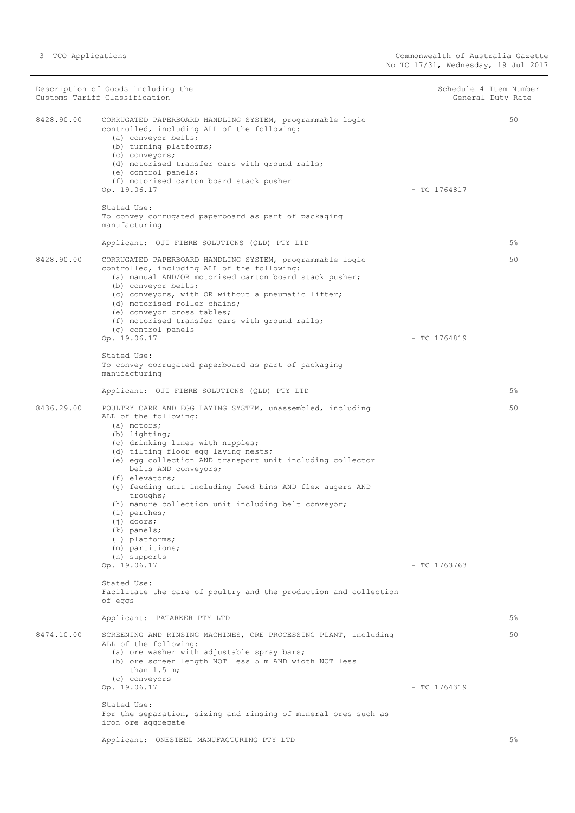|            | Description of Goods including the<br>Customs Tariff Classification                                                                                                                                                                                                                                                                                                                                                                                                                                                                                                                                                                                        |                | Schedule 4 Item Number<br>General Duty Rate |
|------------|------------------------------------------------------------------------------------------------------------------------------------------------------------------------------------------------------------------------------------------------------------------------------------------------------------------------------------------------------------------------------------------------------------------------------------------------------------------------------------------------------------------------------------------------------------------------------------------------------------------------------------------------------------|----------------|---------------------------------------------|
| 8428.90.00 | CORRUGATED PAPERBOARD HANDLING SYSTEM, programmable logic<br>controlled, including ALL of the following:<br>(a) conveyor belts;<br>(b) turning platforms;<br>(c) conveyors;<br>(d) motorised transfer cars with ground rails;<br>(e) control panels;<br>(f) motorised carton board stack pusher<br>Op. 19.06.17                                                                                                                                                                                                                                                                                                                                            | $-$ TC 1764817 | 50                                          |
|            | Stated Use:<br>To convey corrugated paperboard as part of packaging<br>manufacturing                                                                                                                                                                                                                                                                                                                                                                                                                                                                                                                                                                       |                |                                             |
|            | Applicant: OJI FIBRE SOLUTIONS (QLD) PTY LTD                                                                                                                                                                                                                                                                                                                                                                                                                                                                                                                                                                                                               |                | 5%                                          |
| 8428.90.00 | CORRUGATED PAPERBOARD HANDLING SYSTEM, programmable logic<br>controlled, including ALL of the following:<br>(a) manual AND/OR motorised carton board stack pusher;<br>(b) conveyor belts;<br>(c) conveyors, with OR without a pneumatic lifter;<br>(d) motorised roller chains;<br>(e) conveyor cross tables;<br>(f) motorised transfer cars with ground rails;<br>(g) control panels<br>Op. 19.06.17                                                                                                                                                                                                                                                      | $-$ TC 1764819 | 50                                          |
|            | Stated Use:                                                                                                                                                                                                                                                                                                                                                                                                                                                                                                                                                                                                                                                |                |                                             |
|            | To convey corrugated paperboard as part of packaging<br>manufacturing                                                                                                                                                                                                                                                                                                                                                                                                                                                                                                                                                                                      |                |                                             |
|            | Applicant: OJI FIBRE SOLUTIONS (QLD) PTY LTD                                                                                                                                                                                                                                                                                                                                                                                                                                                                                                                                                                                                               |                | 5%                                          |
| 8436.29.00 | POULTRY CARE AND EGG LAYING SYSTEM, unassembled, including<br>ALL of the following:<br>(a) motors;<br>(b) lighting;<br>(c) drinking lines with nipples;<br>(d) tilting floor egg laying nests;<br>(e) egg collection AND transport unit including collector<br>belts AND conveyors;<br>(f) elevators;<br>(g) feeding unit including feed bins AND flex augers AND<br>troughs;<br>(h) manure collection unit including belt conveyor;<br>$(i)$ perches;<br>$(j)$ doors;<br>$(k)$ panels;<br>(1) platforms;<br>(m) partitions;<br>(n) supports<br>Op. 19.06.17<br>Stated Use:<br>Facilitate the care of poultry and the production and collection<br>of eggs | $-$ TC 1763763 | 50                                          |
|            | Applicant: PATARKER PTY LTD                                                                                                                                                                                                                                                                                                                                                                                                                                                                                                                                                                                                                                |                | 5%                                          |
| 8474.10.00 | SCREENING AND RINSING MACHINES, ORE PROCESSING PLANT, including<br>ALL of the following:<br>(a) ore washer with adjustable spray bars;<br>(b) ore screen length NOT less 5 m AND width NOT less<br>than $1.5 m$ ;<br>(c) conveyors<br>Op. 19.06.17<br>Stated Use:<br>For the separation, sizing and rinsing of mineral ores such as                                                                                                                                                                                                                                                                                                                        | $-$ TC 1764319 | 50                                          |
|            | iron ore aggregate                                                                                                                                                                                                                                                                                                                                                                                                                                                                                                                                                                                                                                         |                |                                             |
|            | Applicant: ONESTEEL MANUFACTURING PTY LTD                                                                                                                                                                                                                                                                                                                                                                                                                                                                                                                                                                                                                  |                | 5%                                          |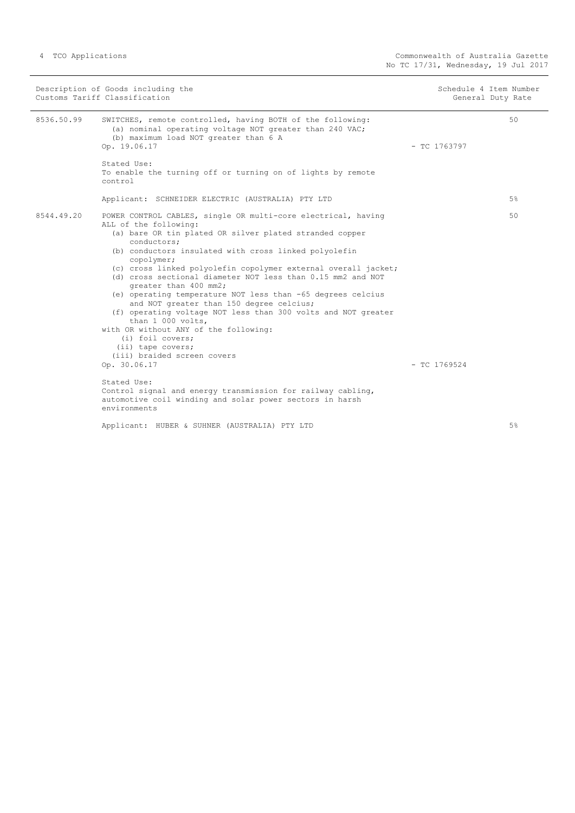| Description of Goods including the<br>Customs Tariff Classification |                                                                                                                                                                                                                                                                                                                                                                                                                                                                                                                                                                                                                                                                                                                     |                | Schedule 4 Item Number<br>General Duty Rate |
|---------------------------------------------------------------------|---------------------------------------------------------------------------------------------------------------------------------------------------------------------------------------------------------------------------------------------------------------------------------------------------------------------------------------------------------------------------------------------------------------------------------------------------------------------------------------------------------------------------------------------------------------------------------------------------------------------------------------------------------------------------------------------------------------------|----------------|---------------------------------------------|
| 8536.50.99                                                          | SWITCHES, remote controlled, having BOTH of the following:<br>(a) nominal operating voltage NOT greater than 240 VAC;<br>(b) maximum load NOT greater than 6 A<br>Op. 19.06.17                                                                                                                                                                                                                                                                                                                                                                                                                                                                                                                                      | $-$ TC 1763797 | 50                                          |
|                                                                     | Stated Use:<br>To enable the turning off or turning on of lights by remote<br>control                                                                                                                                                                                                                                                                                                                                                                                                                                                                                                                                                                                                                               |                |                                             |
|                                                                     | Applicant: SCHNEIDER ELECTRIC (AUSTRALIA) PTY LTD                                                                                                                                                                                                                                                                                                                                                                                                                                                                                                                                                                                                                                                                   |                | 5%                                          |
| 8544.49.20                                                          | POWER CONTROL CABLES, single OR multi-core electrical, having<br>ALL of the following:<br>(a) bare OR tin plated OR silver plated stranded copper<br>conductors;<br>(b) conductors insulated with cross linked polyolefin<br>copolymer;<br>(c) cross linked polyolefin copolymer external overall jacket;<br>(d) cross sectional diameter NOT less than 0.15 mm2 and NOT<br>greater than 400 mm2;<br>(e) operating temperature NOT less than -65 degrees celcius<br>and NOT greater than 150 degree celcius;<br>(f) operating voltage NOT less than 300 volts and NOT greater<br>than 1 000 volts,<br>with OR without ANY of the following:<br>(i) foil covers;<br>(ii) tape covers;<br>(iii) braided screen covers |                | 50                                          |
|                                                                     | Op. 30.06.17                                                                                                                                                                                                                                                                                                                                                                                                                                                                                                                                                                                                                                                                                                        | $-$ TC 1769524 |                                             |
|                                                                     | Stated Use:<br>Control signal and energy transmission for railway cabling,<br>automotive coil winding and solar power sectors in harsh<br>environments                                                                                                                                                                                                                                                                                                                                                                                                                                                                                                                                                              |                |                                             |
|                                                                     | Applicant: HUBER & SUHNER (AUSTRALIA) PTY LTD                                                                                                                                                                                                                                                                                                                                                                                                                                                                                                                                                                                                                                                                       |                | 5%                                          |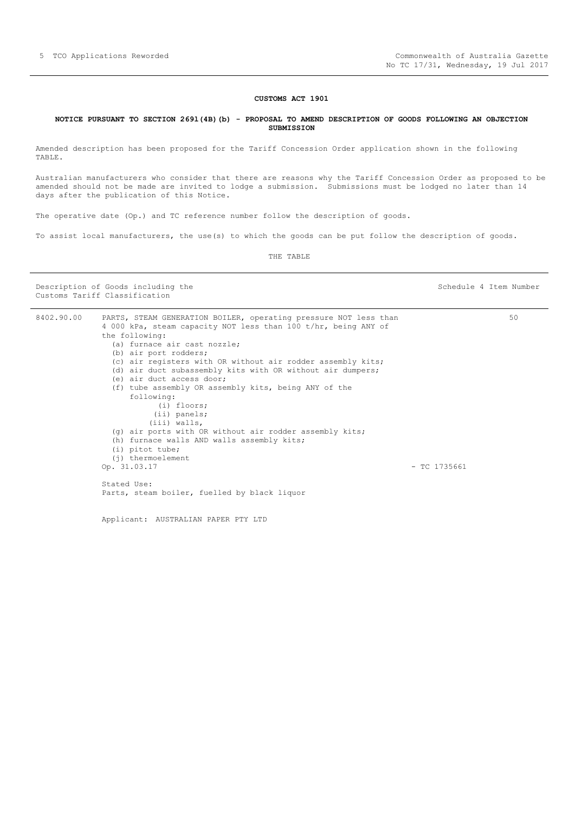#### **CUSTOMS ACT 1901**

#### <span id="page-4-0"></span>**NOTICE PURSUANT TO SECTION 269l(4B)(b) - PROPOSAL TO AMEND DESCRIPTION OF GOODS FOLLOWING AN OBJECTION SUBMISSION**

Amended description has been proposed for the Tariff Concession Order application shown in the following TABLE.

Australian manufacturers who consider that there are reasons why the Tariff Concession Order as proposed to be amended should not be made are invited to lodge a submission. Submissions must be lodged no later than 14 days after the publication of this Notice.

The operative date (Op.) and TC reference number follow the description of goods.

To assist local manufacturers, the use(s) to which the goods can be put follow the description of goods.

THE TABLE

Description of Goods including the Schedule 4 Item Number Customs Tariff Classification

| 8402.90.00 | PARTS, STEAM GENERATION BOILER, operating pressure NOT less than |                | 50 |
|------------|------------------------------------------------------------------|----------------|----|
|            | 4 000 kPa, steam capacity NOT less than 100 t/hr, being ANY of   |                |    |
|            | the following:                                                   |                |    |
|            | (a) furnace air cast nozzle;                                     |                |    |
|            | (b) air port rodders;                                            |                |    |
|            | (c) air registers with OR without air rodder assembly kits;      |                |    |
|            | (d) air duct subassembly kits with OR without air dumpers;       |                |    |
|            | (e) air duct access door;                                        |                |    |
|            | (f) tube assembly OR assembly kits, being ANY of the             |                |    |
|            | following:                                                       |                |    |
|            | (i) floors;                                                      |                |    |
|            | $(i)$ panels;                                                    |                |    |
|            | (iii) walls,                                                     |                |    |
|            | (q) air ports with OR without air rodder assembly kits;          |                |    |
|            | (h) furnace walls AND walls assembly kits;                       |                |    |
|            | $(i)$ pitot tube;                                                |                |    |
|            | $(i)$ thermoelement                                              |                |    |
|            | Op. 31.03.17                                                     | $-$ TC 1735661 |    |
|            | Stated Use:                                                      |                |    |
|            | Parts, steam boiler, fuelled by black liquor                     |                |    |
|            |                                                                  |                |    |

Applicant: AUSTRALIAN PAPER PTY LTD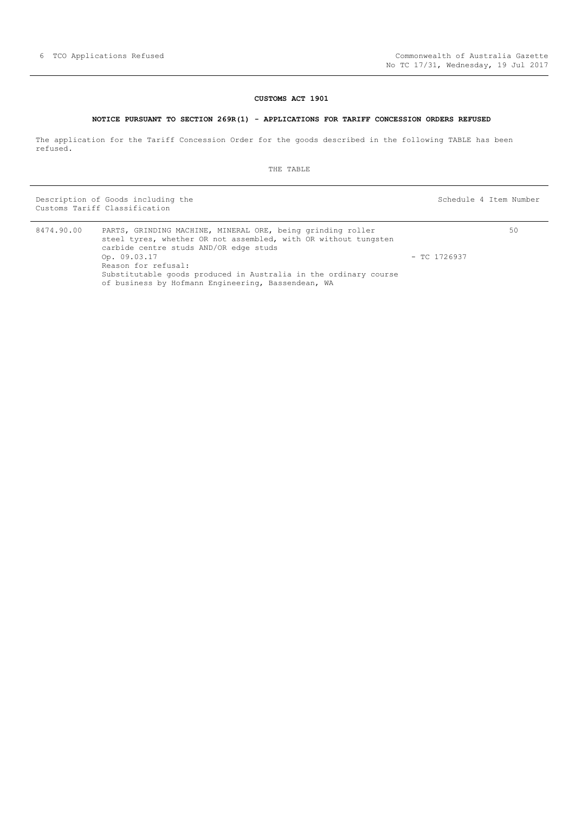### **CUSTOMS ACT 1901**

#### **NOTICE PURSUANT TO SECTION 269R(1) - APPLICATIONS FOR TARIFF CONCESSION ORDERS REFUSED**

<span id="page-5-0"></span>The application for the Tariff Concession Order for the goods described in the following TABLE has been refused.

THE TABLE

Description of Goods including the Schedule 4 Item Number (Schedule 4 Item Number Customs Tariff Classification

50

| 8474.90.00 | PARTS, GRINDING MACHINE, MINERAL ORE, being grinding roller<br>steel tyres, whether OR not assembled, with OR without tungsten<br>carbide centre studs AND/OR edge studs |                |
|------------|--------------------------------------------------------------------------------------------------------------------------------------------------------------------------|----------------|
|            | Op. 09.03.17<br>Reason for refusal:                                                                                                                                      | $-$ TC 1726937 |
|            | Substitutable goods produced in Australia in the ordinary course<br>of business by Hofmann Engineering, Bassendean, WA                                                   |                |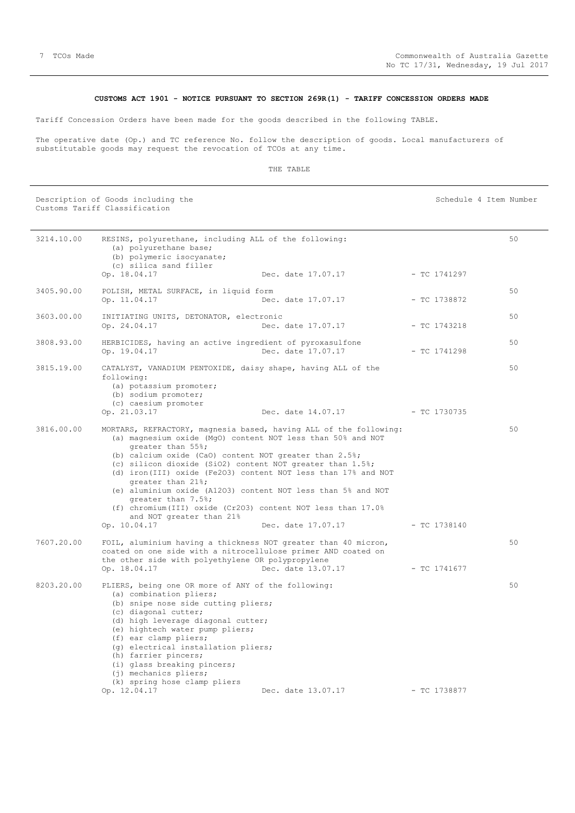#### **CUSTOMS ACT 1901 - NOTICE PURSUANT TO SECTION 269R(1) - TARIFF CONCESSION ORDERS MADE**

<span id="page-6-0"></span>Tariff Concession Orders have been made for the goods described in the following TABLE.

The operative date (Op.) and TC reference No. follow the description of goods. Local manufacturers of substitutable goods may request the revocation of TCOs at any time.

#### THE TABLE

Description of Goods including the Schedule 4 Item Number (Schedule 4 Item Number

Customs Tariff Classification 3214.10.00 RESINS, polyurethane, including ALL of the following: (a) polyurethane base; (b) polymeric isocyanate; (c) silica sand filler<br>Op.  $18.04.17$ Dec. date 17.07.17 - TC 1741297 50 3405.90.00 POLISH, METAL SURFACE, in liquid form Op. 11.04.17 Dec. date 17.07.17 - TC 1738872 50 3603.00.00 INITIATING UNITS, DETONATOR, electronic Op. 24.04.17 Dec. date 17.07.17 - TC 1743218 50 3808.93.00 HERBICIDES, having an active ingredient of pyroxasulfone Op. 19.04.17 Dec. date 17.07.17 - TC 1741298 50 3815.19.00 CATALYST, VANADIUM PENTOXIDE, daisy shape, having ALL of the following: (a) potassium promoter; (b) sodium promoter; (c) caesium promoter Op. 21.03.17 Dec. date 14.07.17 - TC 1730735 50 3816.00.00 MORTARS, REFRACTORY, magnesia based, having ALL of the following: (a) magnesium oxide (MgO) content NOT less than 50% and NOT greater than 55%; (b) calcium oxide (CaO) content NOT greater than 2.5%; (c) silicon dioxide (SiO2) content NOT greater than 1.5%; (d) iron(III) oxide (Fe2O3) content NOT less than 17% and NOT greater than 21%; (e) aluminium oxide (A12O3) content NOT less than 5% and NOT greater than 7.5%; (f) chromium(III) oxide (Cr2O3) content NOT less than 17.0% and NOT greater than 21% Op. 10.04.17 Dec. date 17.07.17 - TC 1738140 50 7607.20.00 FOIL, aluminium having a thickness NOT greater than 40 micron, coated on one side with a nitrocellulose primer AND coated on the other side with polyethylene OR polypropylene Op. 18.04.17 Dec. date 13.07.17 - TC 1741677 50 8203.20.00 PLIERS, being one OR more of ANY of the following: (a) combination pliers; (b) snipe nose side cutting pliers; (c) diagonal cutter; (d) high leverage diagonal cutter; (e) hightech water pump pliers; (f) ear clamp pliers; (g) electrical installation pliers; (h) farrier pincers; (i) glass breaking pincers; (j) mechanics pliers; (k) spring hose clamp pliers Dec. date 13.07.17 - TC 1738877 50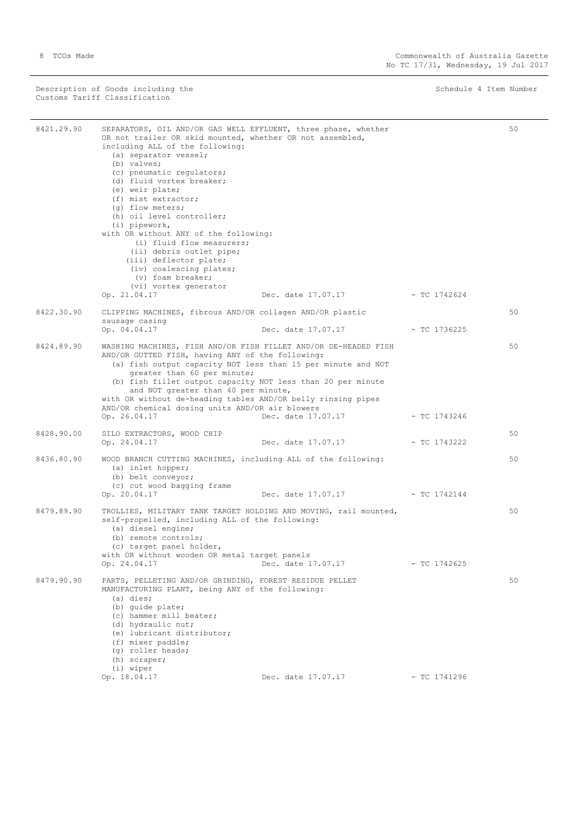Description of Goods including the Schedule 4 Item Number (Schedule 4 Item Number Customs Tariff Classification

÷.

| 8421.29.90 | SEPARATORS, OIL AND/OR GAS WELL EFFLUENT, three phase, whether<br>OR not trailer OR skid mounted, whether OR not assembled,<br>including ALL of the following:<br>(a) separator vessel;<br>(b) valves;<br>(c) pneumatic requlators;<br>(d) fluid vortex breaker;<br>(e) weir plate;<br>(f) mist extractor;<br>(q) flow meters;<br>(h) oil level controller;<br>$(i)$ pipework,<br>with OR without ANY of the following:<br>(i) fluid flow measurers:<br>(ii) debris outlet pipe;<br>(iii) deflector plate;<br>(iv) coalescing plates;<br>(v) foam breaker;<br>(vi) vortex generator<br>Op. 21.04.17 | Dec. date 17.07.17 | - TC 1742624   | 50 |
|------------|-----------------------------------------------------------------------------------------------------------------------------------------------------------------------------------------------------------------------------------------------------------------------------------------------------------------------------------------------------------------------------------------------------------------------------------------------------------------------------------------------------------------------------------------------------------------------------------------------------|--------------------|----------------|----|
|            |                                                                                                                                                                                                                                                                                                                                                                                                                                                                                                                                                                                                     |                    |                |    |
| 8422.30.90 | CLIPPING MACHINES, fibrous AND/OR collagen AND/OR plastic                                                                                                                                                                                                                                                                                                                                                                                                                                                                                                                                           |                    |                | 50 |
|            | sausage casing<br>Op. 04.04.17                                                                                                                                                                                                                                                                                                                                                                                                                                                                                                                                                                      | Dec. date 17.07.17 | - TC 1736225   |    |
| 8424.89.90 | WASHING MACHINES, FISH AND/OR FISH FILLET AND/OR DE-HEADED FISH<br>AND/OR GUTTED FISH, having ANY of the following:<br>(a) fish output capacity NOT less than 15 per minute and NOT<br>greater than 60 per minute;<br>(b) fish fillet output capacity NOT less than 20 per minute<br>and NOT greater than 40 per minute,<br>with OR without de-heading tables AND/OR belly rinsing pipes<br>AND/OR chemical dosing units AND/OR air blowers                                                                                                                                                         |                    |                | 50 |
|            | Op. 26.04.17                                                                                                                                                                                                                                                                                                                                                                                                                                                                                                                                                                                        | Dec. date 17.07.17 | - TC 1743246   |    |
| 8428.90.00 | SILO EXTRACTORS, WOOD CHIP<br>Op. 24.04.17                                                                                                                                                                                                                                                                                                                                                                                                                                                                                                                                                          | Dec. date 17.07.17 | - TC 1743222   | 50 |
| 8436.80.90 | WOOD BRANCH CUTTING MACHINES, including ALL of the following:<br>(a) inlet hopper;<br>(b) belt conveyor;<br>(c) cut wood bagging frame<br>Op. 20.04.17                                                                                                                                                                                                                                                                                                                                                                                                                                              | Dec. date 17.07.17 | $-$ TC 1742144 | 50 |
| 8479.89.90 | TROLLIES, MILITARY TANK TARGET HOLDING AND MOVING, rail mounted,<br>self-propelled, including ALL of the following:<br>(a) diesel engine;<br>(b) remote controls;<br>(c) target panel holder,<br>with OR without wooden OR metal target panels<br>Op. 24.04.17                                                                                                                                                                                                                                                                                                                                      | Dec. date 17.07.17 | $-$ TC 1742625 | 50 |
| 8479.90.90 | PARTS, PELLETING AND/OR GRINDING, FOREST RESIDUE PELLET<br>MANUFACTURING PLANT, being ANY of the following:<br>$(a)$ dies;<br>(b) quide plate;<br>(c) hammer mill beater;<br>(d) hydraulic nut;<br>(e) lubricant distributor;<br>(f) mixer paddle;<br>(q) roller heads;<br>(h) scraper;<br>(i) wiper<br>Op. 18.04.17                                                                                                                                                                                                                                                                                | Dec. date 17.07.17 | $-$ TC 1741296 | 50 |
|            |                                                                                                                                                                                                                                                                                                                                                                                                                                                                                                                                                                                                     |                    |                |    |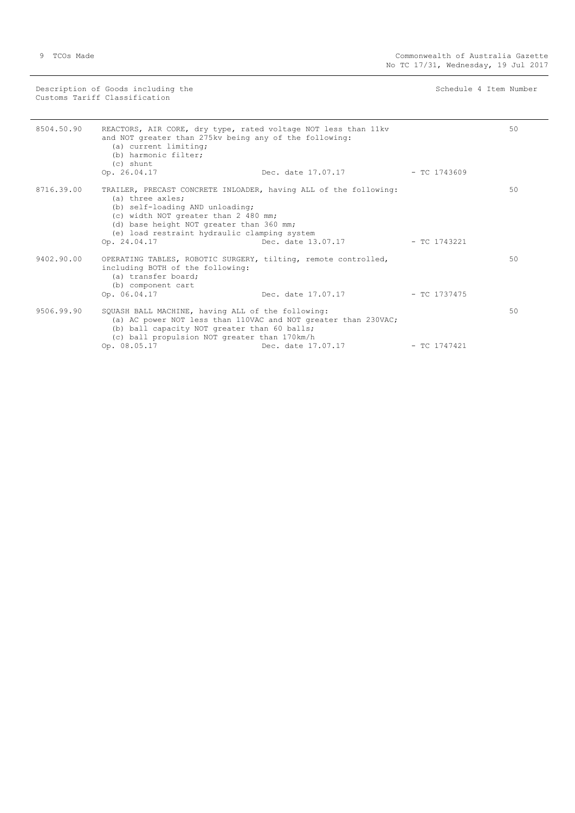Description of Goods including the Schedule 4 Item Number (Schedule 4 Item Number Customs Tariff Classification

| 8504.50.90 | REACTORS, AIR CORE, dry type, rated voltage NOT less than 11kv<br>and NOT greater than 275kv being any of the following:<br>(a) current limiting;<br>(b) harmonic filter;<br>(c) shunt<br>Op. 26.04.17                                                                      | Dec. date $17.07.17$ - TC 1743609                                                    |                | 50 |
|------------|-----------------------------------------------------------------------------------------------------------------------------------------------------------------------------------------------------------------------------------------------------------------------------|--------------------------------------------------------------------------------------|----------------|----|
| 8716.39.00 | TRAILER, PRECAST CONCRETE INLOADER, having ALL of the following:<br>(a) three axles;<br>(b) self-loading AND unloading;<br>(c) width NOT greater than 2 480 mm;<br>(d) base height NOT greater than 360 mm;<br>(e) load restraint hydraulic clamping system<br>Op. 24.04.17 | Dec. date 13.07.17                                                                   | $-$ TC 1743221 | 50 |
| 9402.90.00 | OPERATING TABLES, ROBOTIC SURGERY, tilting, remote controlled,<br>including BOTH of the following:<br>(a) transfer board;<br>(b) component cart<br>Op. 06.04.17                                                                                                             | Dec. date 17.07.17 - TC 1737475                                                      |                | 50 |
| 9506.99.90 | SQUASH BALL MACHINE, having ALL of the following:<br>(b) ball capacity NOT greater than 60 balls;<br>(c) ball propulsion NOT greater than 170km/h<br>Op. 08.05.17                                                                                                           | (a) AC power NOT less than 110VAC and NOT greater than 230VAC;<br>Dec. date 17.07.17 | $-$ TC 1747421 | 50 |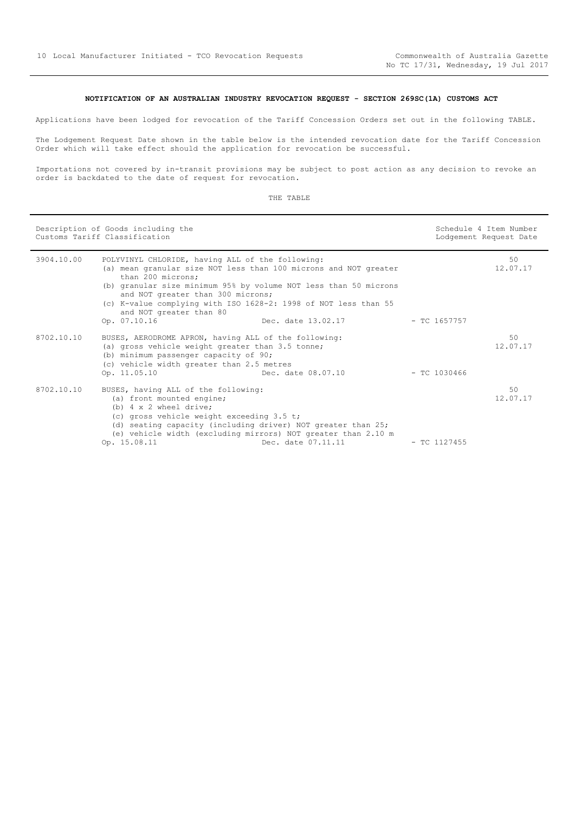### **NOTIFICATION OF AN AUSTRALIAN INDUSTRY REVOCATION REQUEST - SECTION 269SC(1A) CUSTOMS ACT**

<span id="page-9-0"></span>Applications have been lodged for revocation of the Tariff Concession Orders set out in the following TABLE.

The Lodgement Request Date shown in the table below is the intended revocation date for the Tariff Concession Order which will take effect should the application for revocation be successful.

Importations not covered by in-transit provisions may be subject to post action as any decision to revoke an order is backdated to the date of request for revocation.

| n.<br>.<br>п |
|--------------|
|              |

|            | Description of Goods including the<br>Customs Tariff Classification                                                                                                                                                                                                                                                                                              |                    | Schedule 4 Item Number<br>Lodgement Request Date |                |
|------------|------------------------------------------------------------------------------------------------------------------------------------------------------------------------------------------------------------------------------------------------------------------------------------------------------------------------------------------------------------------|--------------------|--------------------------------------------------|----------------|
| 3904.10.00 | POLYVINYL CHLORIDE, having ALL of the following:<br>(a) mean granular size NOT less than 100 microns and NOT greater<br>than 200 microns:<br>(b) granular size minimum 95% by volume NOT less than 50 microns<br>and NOT greater than 300 microns;<br>(c) K-value complying with ISO 1628-2: 1998 of NOT less than 55<br>and NOT greater than 80<br>Op. 07.10.16 | Dec. date 13.02.17 | $-$ TC 1657757                                   | 50<br>12.07.17 |
| 8702.10.10 | BUSES, AERODROME APRON, having ALL of the following:<br>(a) gross vehicle weight greater than 3.5 tonne;<br>(b) minimum passenger capacity of 90;<br>(c) vehicle width greater than 2.5 metres<br>Op. 11.05.10                                                                                                                                                   | Dec. date 08.07.10 | $-$ TC 1030466                                   | 50<br>12.07.17 |
| 8702.10.10 | BUSES, having ALL of the following:<br>(a) front mounted engine;<br>(b) $4 \times 2$ wheel drive;<br>(c) gross vehicle weight exceeding 3.5 t;<br>(d) seating capacity (including driver) NOT greater than 25;<br>(e) vehicle width (excluding mirrors) NOT greater than 2.10 m<br>Op. 15.08.11                                                                  | Dec. date 07.11.11 | $-$ TC 1127455                                   | 50<br>12.07.17 |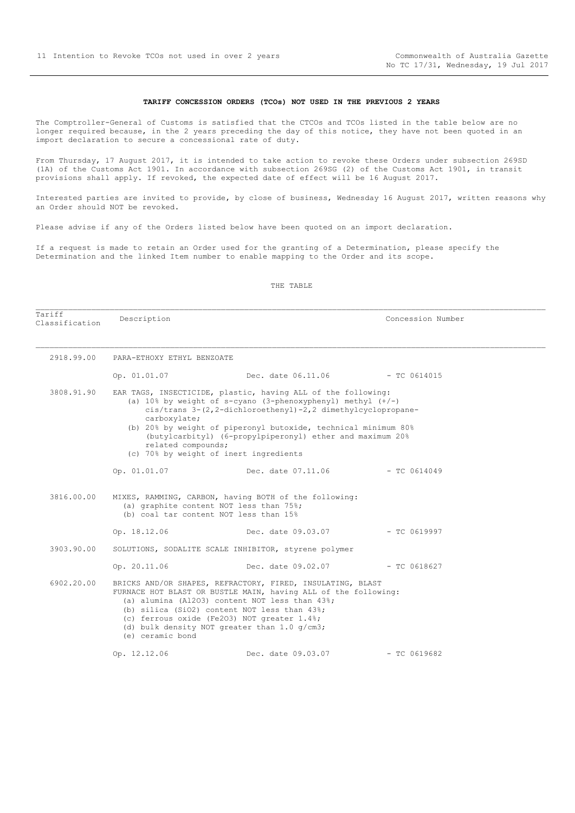#### **TARIFF CONCESSION ORDERS (TCOs) NOT USED IN THE PREVIOUS 2 YEARS**

<span id="page-10-0"></span>The Comptroller-General of Customs is satisfied that the CTCOs and TCOs listed in the table below are no longer required because, in the 2 years preceding the day of this notice, they have not been quoted in an import declaration to secure a concessional rate of duty.

From Thursday, 17 August 2017, it is intended to take action to revoke these Orders under subsection 269SD (1A) of the Customs Act 1901. In accordance with subsection 269SG (2) of the Customs Act 1901, in transit provisions shall apply. If revoked, the expected date of effect will be 16 August 2017.

Interested parties are invited to provide, by close of business, Wednesday 16 August 2017, written reasons why an Order should NOT be revoked.

Please advise if any of the Orders listed below have been quoted on an import declaration.

If a request is made to retain an Order used for the granting of a Determination, please specify the Determination and the linked Item number to enable mapping to the Order and its scope.

#### THE TABLE

| Tariff<br>Classification | Description                        |                                                                                                                                                                                                                                                                                                                                                                          | Concession Number |  |
|--------------------------|------------------------------------|--------------------------------------------------------------------------------------------------------------------------------------------------------------------------------------------------------------------------------------------------------------------------------------------------------------------------------------------------------------------------|-------------------|--|
| 2918.99.00               | PARA-ETHOXY ETHYL BENZOATE         |                                                                                                                                                                                                                                                                                                                                                                          |                   |  |
|                          | Op. 01.01.07                       | Dec. date 06.11.06 - TC 0614015                                                                                                                                                                                                                                                                                                                                          |                   |  |
| 3808.91.90               | carboxylate;<br>related compounds; | EAR TAGS, INSECTICIDE, plastic, having ALL of the following:<br>(a) $10\%$ by weight of s-cyano (3-phenoxyphenyl) methyl $(+/-)$<br>cis/trans 3-(2,2-dichloroethenyl)-2,2 dimethylcyclopropane-<br>(b) 20% by weight of piperonyl butoxide, technical minimum 80%<br>(butylcarbityl) (6-propylpiperonyl) ether and maximum 20%<br>(c) 70% by weight of inert ingredients |                   |  |
|                          | Op. 01.01.07                       | Dec. date 07.11.06                                                                                                                                                                                                                                                                                                                                                       | $-$ TC 0614049    |  |
| 3816.00.00               |                                    | MIXES, RAMMING, CARBON, having BOTH of the following:<br>(a) graphite content NOT less than 75%;<br>(b) coal tar content NOT less than 15%                                                                                                                                                                                                                               |                   |  |
|                          |                                    | Op. 18.12.06 Dec. date 09.03.07 - TC 0619997                                                                                                                                                                                                                                                                                                                             |                   |  |
| 3903.90.00               |                                    | SOLUTIONS, SODALITE SCALE INHIBITOR, styrene polymer                                                                                                                                                                                                                                                                                                                     |                   |  |
|                          | Op. 20.11.06                       | Dec. date 09.02.07    - TC 0618627                                                                                                                                                                                                                                                                                                                                       |                   |  |
| 6902.20.00               | (e) ceramic bond                   | BRICKS AND/OR SHAPES, REFRACTORY, FIRED, INSULATING, BLAST<br>FURNACE HOT BLAST OR BUSTLE MAIN, having ALL of the following:<br>(a) alumina (Al2O3) content NOT less than 43%;<br>(b) silica (SiO2) content NOT less than 43%;<br>(c) ferrous oxide (Fe2O3) NOT greater 1.4%;<br>(d) bulk density NOT greater than $1.0$ g/cm3;                                          |                   |  |
|                          | Op. 12.12.06                       | Dec. date 09.03.07                                                                                                                                                                                                                                                                                                                                                       | $-$ TC 0619682    |  |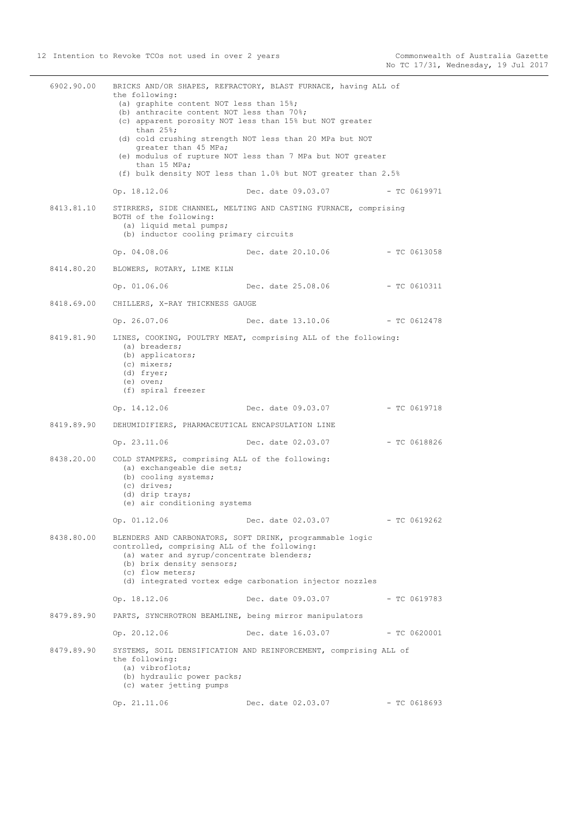| 6902.90.00 | the following:<br>(a) graphite content NOT less than 15%;<br>(b) anthracite content NOT less than 70%;<br>than $25$ %;<br>greater than 45 MPa;<br>than 15 MPa; | BRICKS AND/OR SHAPES, REFRACTORY, BLAST FURNACE, having ALL of<br>(c) apparent porosity NOT less than 15% but NOT greater<br>(d) cold crushing strength NOT less than 20 MPa but NOT<br>(e) modulus of rupture NOT less than 7 MPa but NOT greater<br>(f) bulk density NOT less than 1.0% but NOT greater than 2.5% |                |
|------------|----------------------------------------------------------------------------------------------------------------------------------------------------------------|---------------------------------------------------------------------------------------------------------------------------------------------------------------------------------------------------------------------------------------------------------------------------------------------------------------------|----------------|
|            | Op. 18.12.06                                                                                                                                                   | Dec. date 09.03.07 - TC 0619971                                                                                                                                                                                                                                                                                     |                |
| 8413.81.10 | BOTH of the following:<br>(a) liquid metal pumps;<br>(b) inductor cooling primary circuits                                                                     | STIRRERS, SIDE CHANNEL, MELTING AND CASTING FURNACE, comprising                                                                                                                                                                                                                                                     |                |
|            | Op. 04.08.06                                                                                                                                                   | Dec. date 20.10.06                                                                                                                                                                                                                                                                                                  | - TC 0613058   |
|            | 8414.80.20 BLOWERS, ROTARY, LIME KILN                                                                                                                          |                                                                                                                                                                                                                                                                                                                     |                |
|            | Op. 01.06.06 Dec. date 25.08.06                                                                                                                                |                                                                                                                                                                                                                                                                                                                     | - TC 0610311   |
|            | 8418.69.00 CHILLERS, X-RAY THICKNESS GAUGE                                                                                                                     |                                                                                                                                                                                                                                                                                                                     |                |
|            | Op. 26.07.06                                                                                                                                                   | Dec. date 13.10.06 - TC 0612478                                                                                                                                                                                                                                                                                     |                |
| 8419.81.90 | (a) breaders;<br>(b) applicators;<br>(c) mixers;<br>(d) fryer;<br>(e) oven;<br>(f) spiral freezer                                                              | LINES, COOKING, POULTRY MEAT, comprising ALL of the following:                                                                                                                                                                                                                                                      |                |
|            | Op. 14.12.06                                                                                                                                                   | Dec. date 09.03.07                                                                                                                                                                                                                                                                                                  | $-$ TC 0619718 |
| 8419.89.90 | DEHUMIDIFIERS, PHARMACEUTICAL ENCAPSULATION LINE                                                                                                               |                                                                                                                                                                                                                                                                                                                     |                |
|            | Op. 23.11.06                                                                                                                                                   | Dec. date 02.03.07                                                                                                                                                                                                                                                                                                  | $-$ TC 0618826 |
| 8438.20.00 | COLD STAMPERS, comprising ALL of the following:<br>(a) exchangeable die sets;                                                                                  |                                                                                                                                                                                                                                                                                                                     |                |
|            | (b) cooling systems;<br>(c) drives;<br>(d) drip trays;<br>(e) air conditioning systems                                                                         |                                                                                                                                                                                                                                                                                                                     |                |
|            | Op. 01.12.06                                                                                                                                                   | Dec. date 02.03.07                                                                                                                                                                                                                                                                                                  | $-$ TC 0619262 |
| 8438.80.00 | controlled, comprising ALL of the following:<br>(a) water and syrup/concentrate blenders;<br>(b) brix density sensors;<br>(c) flow meters;                     | BLENDERS AND CARBONATORS, SOFT DRINK, programmable logic<br>(d) integrated vortex edge carbonation injector nozzles                                                                                                                                                                                                 |                |
|            | Op. 18.12.06                                                                                                                                                   | Dec. date 09.03.07                                                                                                                                                                                                                                                                                                  | $-$ TC 0619783 |
| 8479.89.90 | PARTS, SYNCHROTRON BEAMLINE, being mirror manipulators                                                                                                         |                                                                                                                                                                                                                                                                                                                     |                |
|            | Op. 20.12.06                                                                                                                                                   | Dec. date 16.03.07                                                                                                                                                                                                                                                                                                  | $-$ TC 0620001 |
| 8479.89.90 | the following:<br>(a) vibroflots;<br>(b) hydraulic power packs;<br>(c) water jetting pumps                                                                     | SYSTEMS, SOIL DENSIFICATION AND REINFORCEMENT, comprising ALL of                                                                                                                                                                                                                                                    |                |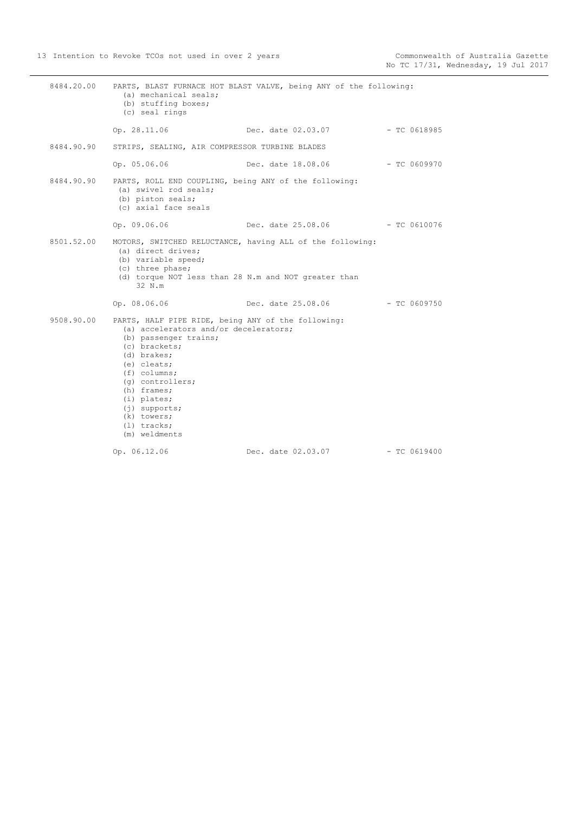| 8484.20.00 | (a) mechanical seals;<br>(b) stuffing boxes;<br>(c) seal rings                                                                                                                                                                                                                                              | PARTS, BLAST FURNACE HOT BLAST VALVE, being ANY of the following: |                |
|------------|-------------------------------------------------------------------------------------------------------------------------------------------------------------------------------------------------------------------------------------------------------------------------------------------------------------|-------------------------------------------------------------------|----------------|
|            | Op. 28.11.06                                                                                                                                                                                                                                                                                                | Dec. date 02.03.07 - TC 0618985                                   |                |
| 8484.90.90 | STRIPS, SEALING, AIR COMPRESSOR TURBINE BLADES                                                                                                                                                                                                                                                              |                                                                   |                |
|            | Op. 05.06.06                                                                                                                                                                                                                                                                                                | Dec. date 18.08.06 - TC 0609970                                   |                |
| 8484.90.90 | PARTS, ROLL END COUPLING, being ANY of the following:<br>(a) swivel rod seals;<br>(b) piston seals;<br>(c) axial face seals                                                                                                                                                                                 |                                                                   |                |
|            | Op. 09.06.06                                                                                                                                                                                                                                                                                                | Dec. date 25.08.06 - TC 0610076                                   |                |
| 8501.52.00 | (a) direct drives;<br>(b) variable speed;<br>(c) three phase;<br>(d) torque NOT less than 28 N.m and NOT greater than<br>32 N.m                                                                                                                                                                             | MOTORS, SWITCHED RELUCTANCE, having ALL of the following:         |                |
|            | Op. 08.06.06                                                                                                                                                                                                                                                                                                | Dec. date 25.08.06                                                | $-$ TC 0609750 |
| 9508.90.00 | PARTS, HALF PIPE RIDE, being ANY of the following:<br>(a) accelerators and/or decelerators;<br>(b) passenger trains;<br>(c) brackets;<br>(d) brakes;<br>(e) cleats;<br>$(f)$ columns;<br>(g) controllers;<br>(h) frames;<br>(i) plates;<br>$(j)$ supports;<br>(k) towers;<br>$(1)$ tracks;<br>(m) weldments |                                                                   |                |
|            | Op. 06.12.06                                                                                                                                                                                                                                                                                                | Dec. date 02.03.07                                                | $-$ TC 0619400 |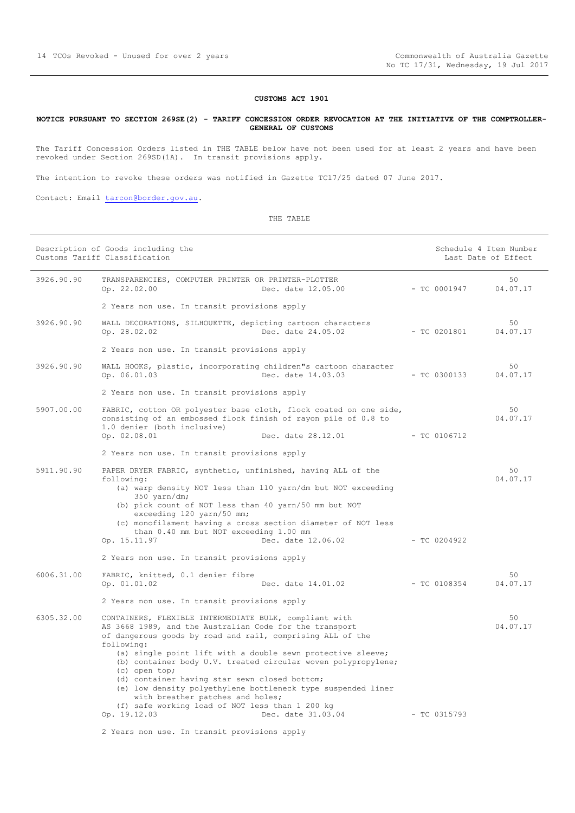#### **CUSTOMS ACT 1901**

#### <span id="page-13-0"></span>**NOTICE PURSUANT TO SECTION 269SE(2) - TARIFF CONCESSION ORDER REVOCATION AT THE INITIATIVE OF THE COMPTROLLER-GENERAL OF CUSTOMS**

The Tariff Concession Orders listed in THE TABLE below have not been used for at least 2 years and have been revoked under Section 269SD(1A). In transit provisions apply.

The intention to revoke these orders was notified in Gazette TC17/25 dated 07 June 2017.

Contact: Email [tarcon@border.gov.au.](mailto:tarcon@border.gov.au)

THE TABLE

|            | Description of Goods including the<br>Customs Tariff Classification                                                                                                                            |                | Schedule 4 Item Number<br>Last Date of Effect |
|------------|------------------------------------------------------------------------------------------------------------------------------------------------------------------------------------------------|----------------|-----------------------------------------------|
| 3926.90.90 | TRANSPARENCIES, COMPUTER PRINTER OR PRINTER-PLOTTER<br>Op. 22.02.00<br>Dec. date 12.05.00                                                                                                      | $-$ TC 0001947 | 50<br>04.07.17                                |
|            | 2 Years non use. In transit provisions apply                                                                                                                                                   |                |                                               |
| 3926.90.90 | WALL DECORATIONS, SILHOUETTE, depicting cartoon characters<br>Op. 28.02.02<br>Dec. date 24.05.02                                                                                               | $- TC 0201801$ | 50<br>04.07.17                                |
|            | 2 Years non use. In transit provisions apply                                                                                                                                                   |                |                                               |
| 3926.90.90 | WALL HOOKS, plastic, incorporating children"s cartoon character<br>Op. 06.01.03<br>Dec. date 14.03.03                                                                                          | $-$ TC 0300133 | 50<br>04.07.17                                |
|            | 2 Years non use. In transit provisions apply                                                                                                                                                   |                |                                               |
| 5907.00.00 | FABRIC, cotton OR polyester base cloth, flock coated on one side,<br>consisting of an embossed flock finish of rayon pile of 0.8 to<br>1.0 denier (both inclusive)                             |                | 50<br>04.07.17                                |
|            | Op. 02.08.01<br>Dec. date 28.12.01                                                                                                                                                             | $-$ TC 0106712 |                                               |
|            | 2 Years non use. In transit provisions apply                                                                                                                                                   |                |                                               |
| 5911.90.90 | PAPER DRYER FABRIC, synthetic, unfinished, having ALL of the<br>following:<br>(a) warp density NOT less than 110 yarn/dm but NOT exceeding<br>$350$ yarn/dm;                                   |                | 50<br>04.07.17                                |
|            | (b) pick count of NOT less than 40 yarn/50 mm but NOT<br>exceeding 120 yarn/50 mm;                                                                                                             |                |                                               |
|            | (c) monofilament having a cross section diameter of NOT less<br>than 0.40 mm but NOT exceeding 1.00 mm<br>Op. 15.11.97<br>Dec. date 12.06.02                                                   | $-$ TC 0204922 |                                               |
|            | 2 Years non use. In transit provisions apply                                                                                                                                                   |                |                                               |
| 6006.31.00 | FABRIC, knitted, 0.1 denier fibre<br>Op. 01.01.02<br>Dec. date 14.01.02                                                                                                                        | $-$ TC 0108354 | 50<br>04.07.17                                |
|            | 2 Years non use. In transit provisions apply                                                                                                                                                   |                |                                               |
| 6305.32.00 | CONTAINERS, FLEXIBLE INTERMEDIATE BULK, compliant with<br>AS 3668 1989, and the Australian Code for the transport<br>of dangerous goods by road and rail, comprising ALL of the<br>following:  |                | 50<br>04.07.17                                |
|            | (a) single point lift with a double sewn protective sleeve;<br>(b) container body U.V. treated circular woven polypropylene;<br>(c) open top;<br>(d) container having star sewn closed bottom; |                |                                               |
|            | (e) low density polyethylene bottleneck type suspended liner<br>with breather patches and holes;                                                                                               |                |                                               |
|            | (f) safe working load of NOT less than 1 200 kg<br>Op. 19.12.03<br>Dec. date 31.03.04                                                                                                          | $-$ TC 0315793 |                                               |
|            | 2 Years non use. In transit provisions apply                                                                                                                                                   |                |                                               |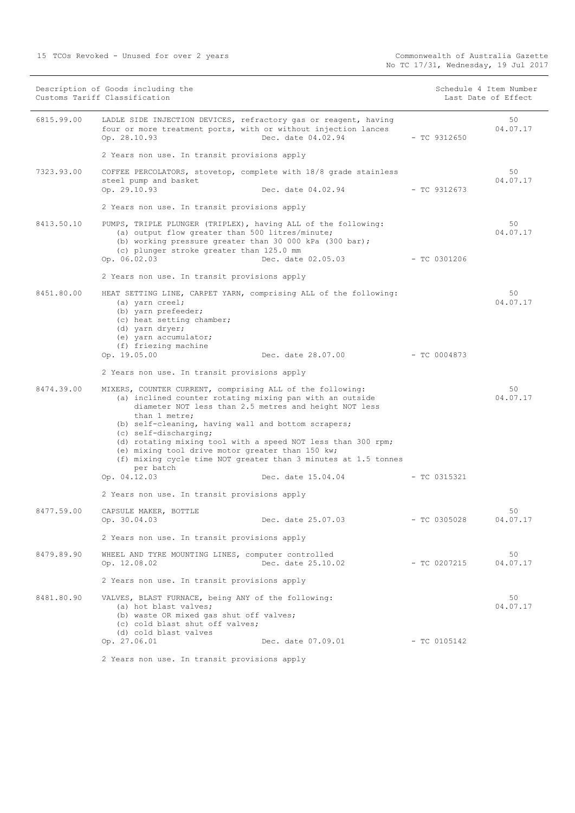15 TCOs Revoked - Unused for over 2 years

|            | Description of Goods including the<br>Customs Tariff Classification                                                                                                                                                                                                                                                                                                                                                                                                                                |                                 |  | Schedule 4 Item Number<br>Last Date of Effect |                |
|------------|----------------------------------------------------------------------------------------------------------------------------------------------------------------------------------------------------------------------------------------------------------------------------------------------------------------------------------------------------------------------------------------------------------------------------------------------------------------------------------------------------|---------------------------------|--|-----------------------------------------------|----------------|
| 6815.99.00 | LADLE SIDE INJECTION DEVICES, refractory gas or reagent, having<br>four or more treatment ports, with or without injection lances<br>Op. 28.10.93                                                                                                                                                                                                                                                                                                                                                  | Dec. date 04.02.94              |  | $-$ TC 9312650                                | 50<br>04.07.17 |
|            | 2 Years non use. In transit provisions apply                                                                                                                                                                                                                                                                                                                                                                                                                                                       |                                 |  |                                               |                |
| 7323.93.00 | COFFEE PERCOLATORS, stovetop, complete with 18/8 grade stainless<br>steel pump and basket<br>Op. 29.10.93                                                                                                                                                                                                                                                                                                                                                                                          | Dec. date 04.02.94              |  | $-$ TC 9312673                                | 50<br>04.07.17 |
|            | 2 Years non use. In transit provisions apply                                                                                                                                                                                                                                                                                                                                                                                                                                                       |                                 |  |                                               |                |
| 8413.50.10 | PUMPS, TRIPLE PLUNGER (TRIPLEX), having ALL of the following:<br>(a) output flow greater than 500 litres/minute;<br>(b) working pressure greater than 30 000 kPa (300 bar);<br>(c) plunger stroke greater than 125.0 mm<br>Op. 06.02.03                                                                                                                                                                                                                                                            | Dec. date 02.05.03 - TC 0301206 |  |                                               | 50<br>04.07.17 |
|            | 2 Years non use. In transit provisions apply                                                                                                                                                                                                                                                                                                                                                                                                                                                       |                                 |  |                                               |                |
| 8451.80.00 | HEAT SETTING LINE, CARPET YARN, comprising ALL of the following:<br>(a) yarn creel;<br>(b) yarn prefeeder;<br>(c) heat setting chamber;<br>(d) yarn dryer;<br>(e) yarn accumulator;<br>(f) friezing machine                                                                                                                                                                                                                                                                                        |                                 |  |                                               | 50<br>04.07.17 |
|            | Op. 19.05.00                                                                                                                                                                                                                                                                                                                                                                                                                                                                                       | Dec. date 28.07.00              |  | - TC 0004873                                  |                |
|            | 2 Years non use. In transit provisions apply                                                                                                                                                                                                                                                                                                                                                                                                                                                       |                                 |  |                                               |                |
| 8474.39.00 | MIXERS, COUNTER CURRENT, comprising ALL of the following:<br>(a) inclined counter rotating mixing pan with an outside<br>diameter NOT less than 2.5 metres and height NOT less<br>than 1 metre;<br>(b) self-cleaning, having wall and bottom scrapers;<br>(c) self-discharging;<br>(d) rotating mixing tool with a speed NOT less than 300 rpm;<br>(e) mixing tool drive motor greater than 150 kw;<br>(f) mixing cycle time NOT greater than 3 minutes at 1.5 tonnes<br>per batch<br>Op. 04.12.03 | Dec. date 15.04.04              |  | - TC 0315321                                  | 50<br>04.07.17 |
|            | 2 Years non use. In transit provisions apply                                                                                                                                                                                                                                                                                                                                                                                                                                                       |                                 |  |                                               |                |
| 8477.59.00 | CAPSULE MAKER, BOTTLE<br>Op. 30.04.03                                                                                                                                                                                                                                                                                                                                                                                                                                                              | Dec. date 25.07.03              |  | $-$ TC 0305028                                | 50<br>04.07.17 |
|            | 2 Years non use. In transit provisions apply                                                                                                                                                                                                                                                                                                                                                                                                                                                       |                                 |  |                                               |                |
| 8479.89.90 | WHEEL AND TYRE MOUNTING LINES, computer controlled<br>Op. 12.08.02                                                                                                                                                                                                                                                                                                                                                                                                                                 | Dec. date 25.10.02              |  | - TC 0207215                                  | 50<br>04.07.17 |
|            | 2 Years non use. In transit provisions apply                                                                                                                                                                                                                                                                                                                                                                                                                                                       |                                 |  |                                               |                |
| 8481.80.90 | VALVES, BLAST FURNACE, being ANY of the following:<br>(a) hot blast valves;<br>(b) waste OR mixed gas shut off valves;<br>(c) cold blast shut off valves;<br>(d) cold blast valves<br>Op. 27.06.01                                                                                                                                                                                                                                                                                                 | Dec. date 07.09.01              |  | $-$ TC 0105142                                | 50<br>04.07.17 |
|            |                                                                                                                                                                                                                                                                                                                                                                                                                                                                                                    |                                 |  |                                               |                |

2 Years non use. In transit provisions apply